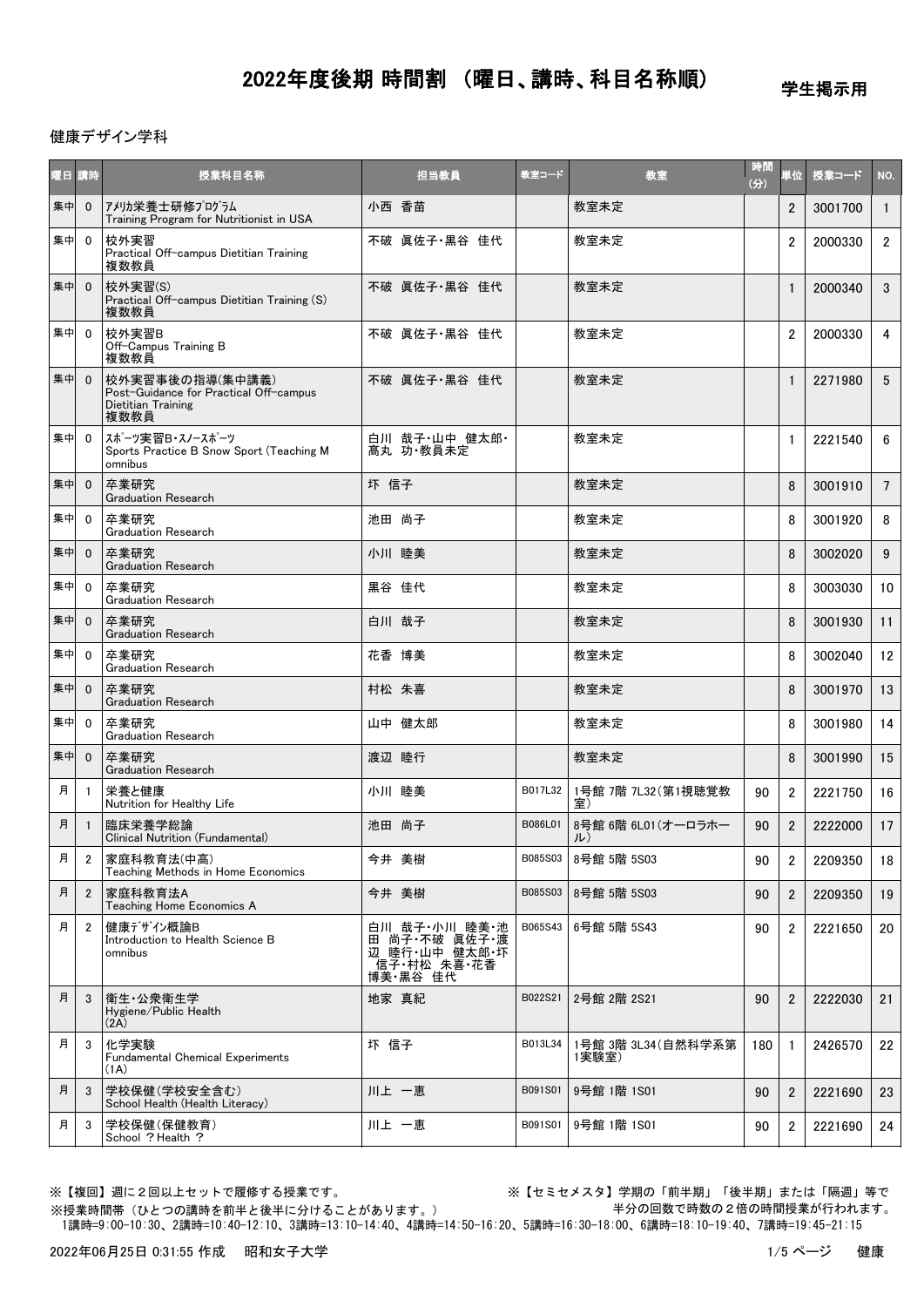学生掲示用

#### 健康デザイン学科

|    | 曜日 講時                   | 授業科目名称                                                                                  | 担当教員                                                                       | 教室コード   | 教室                               | 時間<br>(3) | 単位             | 授業コード   | NO.             |
|----|-------------------------|-----------------------------------------------------------------------------------------|----------------------------------------------------------------------------|---------|----------------------------------|-----------|----------------|---------|-----------------|
| 集中 | $\overline{\mathbf{0}}$ | アメリカ栄養士研修プログラム<br>Training Program for Nutritionist in USA                              | 小西 香苗                                                                      |         | 教室未定                             |           | $\overline{2}$ | 3001700 | $\overline{1}$  |
| 集中 | $\overline{0}$          | 校外実習<br>Practical Off-campus Dietitian Training<br>複数教員                                 | 不破 真佐子·黒谷 佳代                                                               |         | 教室未定                             |           | 2              | 2000330 | $\overline{2}$  |
| 集中 | $\overline{0}$          | 校外実習(S)<br>Practical Off-campus Dietitian Training (S)<br>複数教員                          | 不破 眞佐子·黒谷 佳代                                                               |         | 教室未定                             |           | $\mathbf{1}$   | 2000340 | 3               |
| 集中 | $\overline{0}$          | 校外実習B<br>Off-Campus Training B<br>複数教員                                                  | 不破 眞佐子·黒谷 佳代                                                               |         | 教室未定                             |           | 2              | 2000330 | 4               |
| 集中 | $\overline{0}$          | 校外実習事後の指導(集中講義)<br>Post-Guidance for Practical Off-campus<br>Dietitian Training<br>複数教員 | 不破 眞佐子·黒谷 佳代                                                               |         | 教室未定                             |           | $\mathbf{1}$   | 2271980 | $5^{\circ}$     |
| 集中 | $\mathbf{0}$            | スポーツ実習B・スノースポーツ<br>Sports Practice B Snow Sport (Teaching M<br>omnibus                  | 白川 哉子·山中 健太郎·<br>髙丸 功·教員未定                                                 |         | 教室未定                             |           | $\mathbf{1}$   | 2221540 | 6               |
| 集中 | $\overline{\mathbf{0}}$ | │卒業研究<br><b>Graduation Research</b>                                                     | 圷 信子                                                                       |         | 教室未定                             |           | 8              | 3001910 | $7\overline{ }$ |
| 集中 | $\mathbf 0$             | 卒業研究<br><b>Graduation Research</b>                                                      | 池田 尚子                                                                      |         | 教室未定                             |           | 8              | 3001920 | 8               |
| 集中 | $\mathbf{0}$            | 卒業研究<br><b>Graduation Research</b>                                                      | 小川 睦美                                                                      |         | 教室未定                             |           | 8              | 3002020 | 9               |
| 集中 | $\overline{0}$          | 卒業研究<br><b>Graduation Research</b>                                                      | 黒谷 佳代                                                                      |         | 教室未定                             |           | 8              | 3003030 | 10              |
| 集中 | $\mathbf 0$             | 卒業研究<br><b>Graduation Research</b>                                                      | 白川 哉子                                                                      |         | 教室未定                             |           | 8              | 3001930 | 11              |
| 集中 | 0                       | 卒業研究<br><b>Graduation Research</b>                                                      | 花香 博美                                                                      |         | 教室未定                             |           | 8              | 3002040 | 12              |
| 集中 | $\mathbf{0}$            | 卒業研究<br><b>Graduation Research</b>                                                      | 村松 朱喜                                                                      |         | 教室未定                             |           | 8              | 3001970 | 13              |
| 集中 | $\mathbf{0}$            | 卒業研究<br><b>Graduation Research</b>                                                      | 山中 健太郎                                                                     |         | 教室未定                             |           | 8              | 3001980 | 14              |
| 集中 | $\mathbf{0}$            | 卒業研究<br><b>Graduation Research</b>                                                      | 渡辺 睦行                                                                      |         | 教室未定                             |           | 8              | 3001990 | 15              |
| 月  | -1                      | 栄養と健康<br>Nutrition for Healthy Life                                                     | 小川 睦美                                                                      | B017L32 | 1号館 7階 7L32(第1視聴覚教<br>室)         | 90        | $\overline{2}$ | 2221750 | 16              |
| 月  |                         | 臨床栄養学総論<br>Clinical Nutrition (Fundamental)                                             | 池田 尚子                                                                      | B086L01 | 8号館 6階 6L01 (オーロラホー<br>$J_{\nu}$ | 90        | $\overline{2}$ | 2222000 | 17              |
| 月  | 2                       | 家庭科教育法(中高)<br>Teaching Methods in Home Economics                                        | 今井 美樹                                                                      | B085S03 | 8号館 5階 5S03                      | 90        | 2              | 2209350 | 18              |
| 月  | $\overline{2}$          | 家庭科教育法A<br>Teaching Home Economics A                                                    | 今井 美樹                                                                      | B085S03 | 8号館 5階 5S03                      | 90        | $\overline{2}$ | 2209350 | 19              |
| 月  | $\overline{2}$          | 健康デザイン概論B<br>Introduction to Health Science B<br>omnibus                                | 白川 哉子 小川 睦美 池<br>田 尚子 不破 真佐子 渡<br>辺 睦行 山中 健太郎 圷<br>信子 村松 朱喜 花香<br>博美·黒谷 佳代 | B065S43 | 6号館 5階 5S43                      | 90        | $\overline{2}$ | 2221650 | 20              |
| 月  | 3                       | 衛生·公衆衛生学<br>Hygiene/Public Health<br>(2A)                                               | 地家 真紀                                                                      | B022S21 | 2号館 2階 2S21                      | 90        | $\overline{2}$ | 2222030 | 21              |
| 月  | 3                       | 化学実験<br><b>Fundamental Chemical Experiments</b><br>(1A)                                 | 圷 信子                                                                       | B013L34 | 1号館 3階 3L34 (自然科学系第<br>1実験室)     | 180       | $\mathbf{1}$   | 2426570 | 22              |
| 月  | 3                       | 学校保健(学校安全含む)<br>School Health (Health Literacy)                                         | 川上 一恵                                                                      | B091S01 | 9号館 1階 1S01                      | 90        | $\overline{2}$ | 2221690 | 23              |
| 月  | 3                       | 学校保健(保健教育)<br>School ? Health ?                                                         | 川上 一恵                                                                      | B091S01 | 9号館 1階 1S01                      | 90        | $\overline{2}$ | 2221690 | 24              |

※授業時間帯(ひとつの講時を前半と後半に分けることがあります。)

※【複回】週に2回以上セットで履修する授業です。 ※【セミセメスタ】学期の「前半期」「後半期」または「隔週」等で 半分の回数で時数の2倍の時間授業が行われます。

1講時=9:00-10:30、2講時=10:40-12:10、3講時=13:10-14:40、4講時=14:50-16:20、5講時=16:30-18:00、6講時=18:10-19:40、7講時=19:45-21:15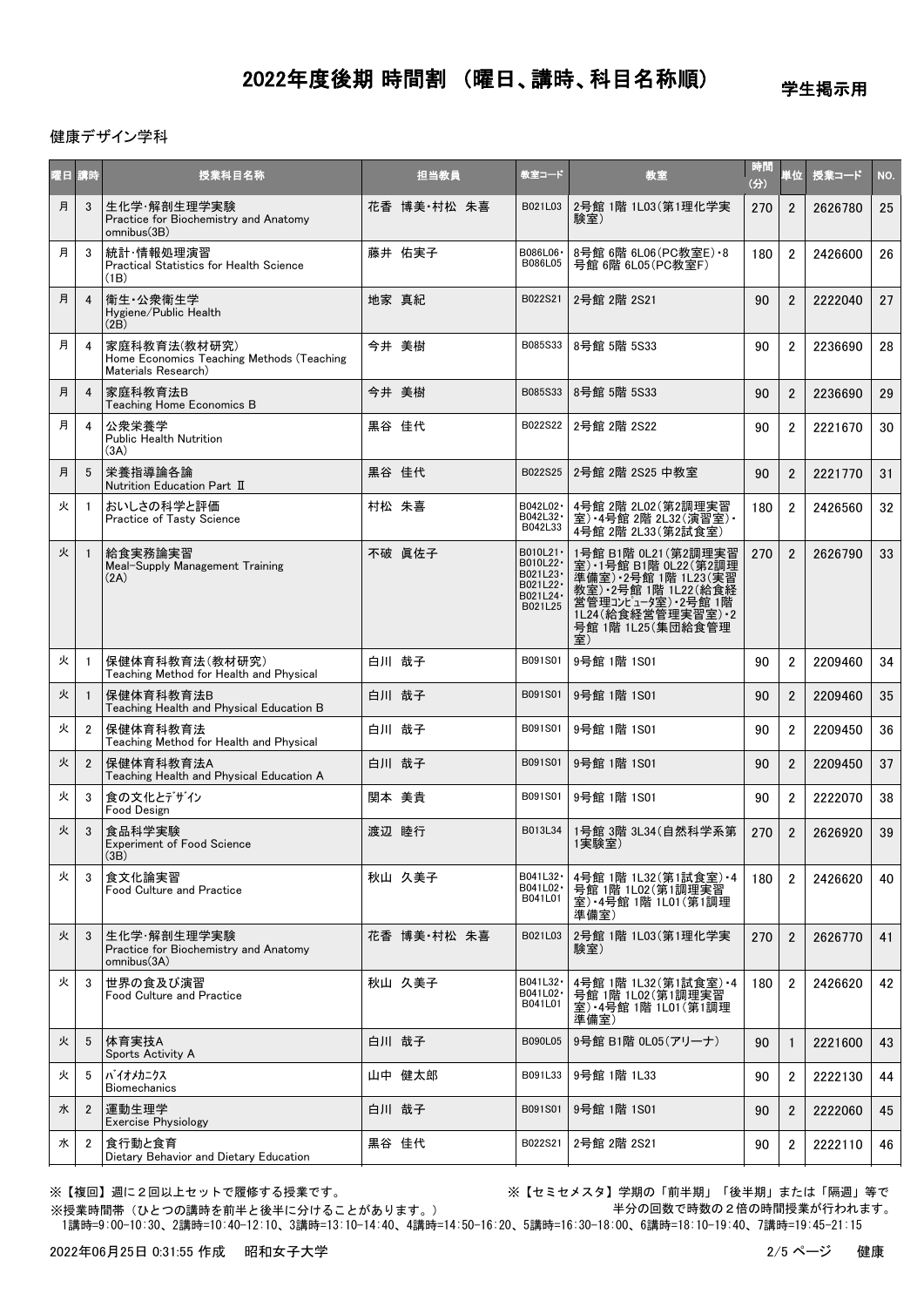学生掲示用

### 健康デザイン学科

| 曜日 講時 |                | 授業科目名称                                                                           | 担当教員        | 教室コード                                                                  | 教室                                                                                                                                                                                    | 時間<br>(分) | 単位             | 授業コード   | NO.             |
|-------|----------------|----------------------------------------------------------------------------------|-------------|------------------------------------------------------------------------|---------------------------------------------------------------------------------------------------------------------------------------------------------------------------------------|-----------|----------------|---------|-----------------|
| 月     | 3              | 生化学·解剖生理学実験<br>Practice for Biochemistry and Anatomy<br>omnibus(3B)              | 花香 博美 村松 朱喜 | B021L03                                                                | 2号館 1階 1L03 (第1理化学実<br>験室)                                                                                                                                                            | 270       | $\overline{2}$ | 2626780 | 25              |
| 月     | 3              | 統計·情報処理演習<br>Practical Statistics for Health Science<br>(1B)                     | 藤井 佑実子      | B086L06 ·<br>B086L05                                                   | 8号館 6階 6L06 (PC教室E) · 8<br>号館 6階 6L05 (PC教室F)                                                                                                                                         | 180       | $\overline{2}$ | 2426600 | 26              |
| 月     | $\overline{4}$ | 衛生·公衆衛生学<br>Hygiene/Public Health<br>(2B)                                        | 地家 真紀       | B022S21                                                                | 2号館 2階 2S21                                                                                                                                                                           | 90        | $\overline{2}$ | 2222040 | 27              |
| 月     | $\overline{4}$ | 家庭科教育法(教材研究)<br>Home Economics Teaching Methods (Teaching<br>Materials Research) | 今井 美樹       | B085S33                                                                | 8号館 5階 5S33                                                                                                                                                                           | 90        | $\overline{2}$ | 2236690 | 28              |
| 月     | $\overline{4}$ | 家庭科教育法B<br>Teaching Home Economics B                                             | 今井 美樹       | B085S33                                                                | 8号館 5階 5S33                                                                                                                                                                           | 90        | $\overline{2}$ | 2236690 | 29              |
| 月     | 4              | 公衆栄養学<br><b>Public Health Nutrition</b><br>(3A)                                  | 黒谷 佳代       | B022S22                                                                | 2号館 2階 2S22                                                                                                                                                                           | 90        | $\overline{2}$ | 2221670 | 30              |
| 月     | 5              | 栄養指導論各論<br>Nutrition Education Part II                                           | 黒谷 佳代       | B022S25                                                                | 2号館 2階 2S25 中教室                                                                                                                                                                       | 90        | $\overline{2}$ | 2221770 | 31              |
| 火     |                | おいしさの科学と評価<br>Practice of Tasty Science                                          | 村松 朱喜       | B042L02 ·<br>B042L32 ·<br>B042L33                                      | 4号館 2階 2L02(第2調理実習<br>室) 4号館 2階 2L32 (演習室) ·<br>4号館 2階 2L33(第2試食室)                                                                                                                    | 180       | $\overline{2}$ | 2426560 | 32 <sub>2</sub> |
| 火     |                | 給食実務論実習<br>Meal-Supply Management Training<br>(2A)                               | 不破 真佐子      | B010L21 ·<br>B010L22-<br>B021L23-<br>B021L22 ·<br>B021L24 ·<br>B021L25 | 1号館 B1階 0L21(第2調理実習<br>- 室) - 1号館 B1階 0L22(第2理<br>準備室) - 2号館 1階 1L22(給食経営) - 2号館 1階 1L22(給食経営) - 2号館 1階 1L22(給食経営) - 2号館 1階 1L22(給食経<br>1L24(給食経営管理実習室) 2<br>号館 1階 1L25 (集団給食管理<br>室) | 270       | $\overline{2}$ | 2626790 | 33              |
| 火     | -1             | 保健体育科教育法(教材研究)<br>Teaching Method for Health and Physical                        | 白川 哉子       | B091S01                                                                | 9号館 1階 1S01                                                                                                                                                                           | 90        | $\overline{2}$ | 2209460 | 34              |
| 火     | $\mathbf{1}$   | 保健体育科教育法B<br>Teaching Health and Physical Education B                            | 白川 哉子       | B091S01                                                                | 9号館 1階 1S01                                                                                                                                                                           | 90        | $\overline{2}$ | 2209460 | 35              |
| 火     | $\overline{2}$ | 保健体育科教育法<br>Teaching Method for Health and Physical                              | 白川 哉子       | B091S01                                                                | 9号館 1階 1S01                                                                                                                                                                           | 90        | $\overline{2}$ | 2209450 | 36              |
| 火     | $\overline{2}$ | 保健体育科教育法A<br>Teaching Health and Physical Education A                            | 白川 哉子       | B091S01                                                                | 9号館 1階 1S01                                                                                                                                                                           | 90        | $\overline{2}$ | 2209450 | 37              |
| 火     | 3              | 食の文化とデザイン<br><b>Food Design</b>                                                  | 関本 美貴       | B091S01                                                                | 9号館 1階 1S01                                                                                                                                                                           | 90        | $\overline{2}$ | 2222070 | 38              |
| 火     | 3              | 食品科学実験<br><b>Experiment of Food Science</b><br>(JB)                              | 渡辺 睦行       | B013L34                                                                | 1号館 3階 3L34 (自然科学系第<br>1実験室)                                                                                                                                                          | 270       | $\overline{2}$ | 2626920 | 39              |
| 火     | 3              | 食文化論実習<br><b>Food Culture and Practice</b>                                       | 秋山 久美子      | B041L32 ·<br>B041L02 ·<br>B041L01                                      | 4号館 1階 1L32 (第1試食室) · 4<br>号館 1階 1L02 (第1調理実習<br>室) · 4号館 1階 1L01 (第1調理<br>準備室)                                                                                                       | 180       | $\overline{2}$ | 2426620 | 40              |
| 火     | 3              | 生化学·解剖生理学実験<br>Practice for Biochemistry and Anatomy<br>omnibus(3A)              | 花香 博美•村松 朱喜 | B021L03                                                                | 2号館 1階 1L03(第1理化学実<br>験室)                                                                                                                                                             | 270       | $\overline{2}$ | 2626770 | 41              |
| 火     | 3              | 世界の食及び演習<br><b>Food Culture and Practice</b>                                     | 秋山 久美子      | B041L32 ·<br>B041L02 ·<br>B041L01                                      | 4号館 1階 1L32 (第1試食室) · 4<br>号館 1階 1L02 (第1調理実習<br>室) · 4号館 1階 1L01 (第1調理<br>準備室)                                                                                                       | 180       | $\overline{2}$ | 2426620 | 42              |
| 火     | 5              | 体育実技A<br>Sports Activity A                                                       | 白川 哉子       | B090L05                                                                | 9号館 B1階 0L05(アリーナ)                                                                                                                                                                    | 90        | $\mathbf{1}$   | 2221600 | 43              |
| 火     | 5              | バイオメカニクス<br><b>Biomechanics</b>                                                  | 山中 健太郎      | B091L33                                                                | 9号館 1階 1L33                                                                                                                                                                           | 90        | $\overline{2}$ | 2222130 | 44              |
| 水     | $\overline{2}$ | 運動生理学<br><b>Exercise Physiology</b>                                              | 白川 哉子       | B091S01                                                                | 9号館 1階 1S01                                                                                                                                                                           | 90        | $\overline{2}$ | 2222060 | 45              |
| 水     | 2              | 食行動と食育<br>Dietary Behavior and Dietary Education                                 | 黒谷 佳代       | B022S21                                                                | 2号館 2階 2S21                                                                                                                                                                           | 90        | $\overline{2}$ | 2222110 | 46              |

※授業時間帯(ひとつの講時を前半と後半に分けることがあります。)

※【複回】週に2回以上セットで履修する授業です。 ※【セミセメスタ】学期の「前半期」「後半期」または「隔週」等で 半分の回数で時数の2倍の時間授業が行われます。

1講時=9:00-10:30、2講時=10:40-12:10、3講時=13:10-14:40、4講時=14:50-16:20、5講時=16:30-18:00、6講時=18:10-19:40、7講時=19:45-21:15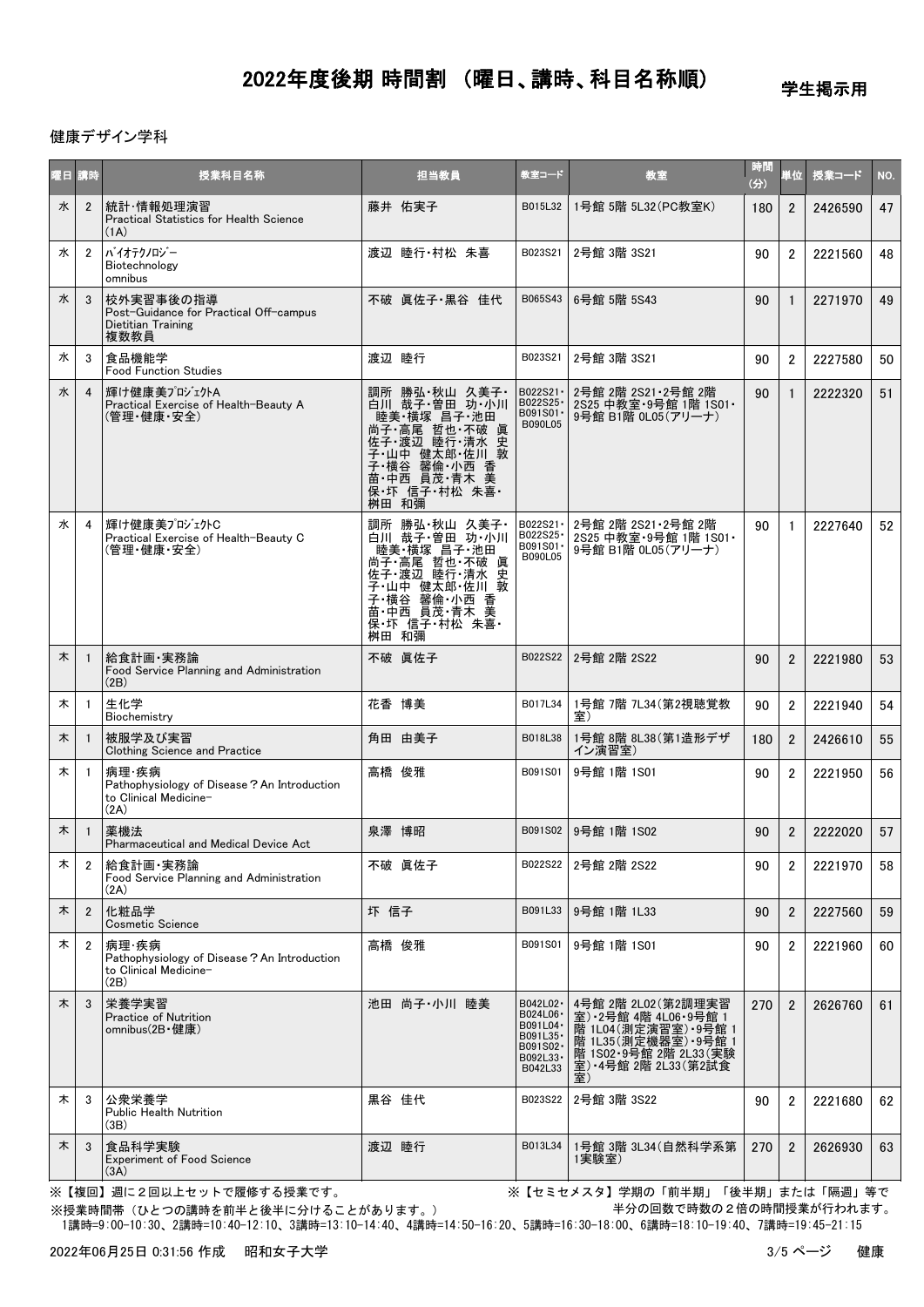学生掲示用

#### 健康デザイン学科

| 曜日 講時 |                | 授業科目名称                                                                                | 担当教員                                                                                                                                                        | 教室コード                                                                               | 教室                                                                                                                                             | 時間<br>(分) | 単位             | 授業コード   | NO. |
|-------|----------------|---------------------------------------------------------------------------------------|-------------------------------------------------------------------------------------------------------------------------------------------------------------|-------------------------------------------------------------------------------------|------------------------------------------------------------------------------------------------------------------------------------------------|-----------|----------------|---------|-----|
| 水     | $\overline{2}$ | 統計·情報処理演習<br><b>Practical Statistics for Health Science</b><br>(1A)                   | 藤井 佑実子                                                                                                                                                      | B015L32                                                                             | 1号館 5階 5L32 (PC教室K)                                                                                                                            | 180       | $\overline{2}$ | 2426590 | 47  |
| 水     | $\overline{2}$ | バイオテクノロジー<br>Biotechnology<br>omnibus                                                 | 渡辺 睦行 村松 朱喜                                                                                                                                                 | B023S21                                                                             | 2号館 3階 3S21                                                                                                                                    | 90        | $\overline{2}$ | 2221560 | 48  |
| 水     | 3              | 校外実習事後の指導<br>Post-Guidance for Practical Off-campus<br>Dietitian Training<br>複数教員     | 不破 真佐子·黒谷 佳代                                                                                                                                                | B065S43                                                                             | 6号館 5階 5S43                                                                                                                                    | 90        | $\mathbf{1}$   | 2271970 | 49  |
| 水     | 3              | 食品機能学<br><b>Food Function Studies</b>                                                 | 渡辺 睦行                                                                                                                                                       | B023S21                                                                             | 2号館 3階 3S21                                                                                                                                    | 90        | $\overline{2}$ | 2227580 | 50  |
| 水     | $\overline{4}$ | 輝け健康美プロジェクトA<br>Practical Exercise of Health-Beauty A<br>(管理・健康・安全)                   | 調所 勝弘 秋山 久美子・<br>白川 哉子 曽田 功 小川<br>睦美横塚 昌子 池田<br>尚子·高尾 哲也·清水<br>佐子·渡辺 睦行·清水<br>子·山中<br>生本 山本 《唐朝史·<br>子·横谷 馨倫·小西 香<br>苗・中西 員茂・青木 美<br>保·圷 信子·村松 朱喜·<br>桝田 和彌 | B022S21 ·<br>B022S25-<br>B091S01 ·<br>B090L05                                       | 2号館 2階 2S21·2号館 2階<br>2S25 中教室·9号館 1階 1S01·<br>9号館 B1階 0L05(アリーナ)                                                                              | 90        | $\mathbf{1}$   | 2222320 | 51  |
| 水     | 4              | 輝け健康美プロジェクトC<br>Practical Exercise of Health-Beauty C<br>(管理・健康・安全)                   | 調所 勝弘・秋山 久美子・<br>尚子 高尾 哲也 不破 眞<br> 佐子・渡辺 睦行・清水 史<br>子・山中 健太郎・佐川 敦<br>-子 横谷 馨倫 小西 香<br>苗 中西 員茂 青木 美<br>保 圷 信子 村松 朱喜<br>桝田 和彌                                 | B022S21-<br>B022S25-<br>B091S01 ·<br>B090L05                                        | 2号館 2階 2S21·2号館 2階<br>2S25 中教室·9号館 1階 1S01·<br>9号館 B1階 0L05(アリーナ)                                                                              | 90        | $\mathbf{1}$   | 2227640 | 52  |
| 木     | $\mathbf{1}$   | 給食計画・実務論<br>Food Service Planning and Administration<br>(2B)                          | 不破 真佐子                                                                                                                                                      | B022S22                                                                             | 2号館 2階 2S22                                                                                                                                    | 90        | $\overline{2}$ | 2221980 | 53  |
| 木     | $\overline{1}$ | 生化学<br>Biochemistry                                                                   | 花香 博美                                                                                                                                                       | B017L34                                                                             | 1号館 7階 7L34 (第2視聴覚教<br>室)                                                                                                                      | 90        | $\overline{2}$ | 2221940 | 54  |
| 木     |                | 被服学及び実習<br><b>Clothing Science and Practice</b>                                       | 角田 由美子                                                                                                                                                      | B018L38                                                                             | 1号館 8階 8L38 (第1造形デザ<br>イン演習室)                                                                                                                  | 180       | $\overline{2}$ | 2426610 | 55  |
| 木     | -1             | 病理·疾病<br>Pathophysiology of Disease? An Introduction<br>to Clinical Medicine-<br>(2A) | 高橋 俊雅                                                                                                                                                       | B091S01                                                                             | 9号館 1階 1S01                                                                                                                                    | 90        | $\overline{2}$ | 2221950 | 56  |
| 木     | -1             | 薬機法<br><b>Pharmaceutical and Medical Device Act</b>                                   | 泉澤 博昭                                                                                                                                                       | B091S02                                                                             | 9号館 1階 1S02                                                                                                                                    | 90        | $\overline{2}$ | 2222020 | 57  |
| 木     | $\overline{2}$ | 給食計画·実務論<br>Food Service Planning and Administration<br>(2A)                          | 不破 眞佐子                                                                                                                                                      | B022S22                                                                             | 2号館 2階 2S22                                                                                                                                    | 90        | $\overline{2}$ | 2221970 | 58  |
| 木     | $\overline{2}$ | 化粧品学<br><b>Cosmetic Science</b>                                                       | 圷 信子                                                                                                                                                        | B091L33                                                                             | 9号館 1階 1L33                                                                                                                                    | 90        | $\overline{2}$ | 2227560 | 59  |
| 木     | $\overline{2}$ | 病理·疾病<br>Pathophysiology of Disease? An Introduction<br>to Clinical Medicine-<br>(2B) | 高橋 俊雅                                                                                                                                                       | B091S01                                                                             | 9号館 1階 1S01                                                                                                                                    | 90        | $\overline{2}$ | 2221960 | 60  |
| 木     | 3              | 栄養学実習<br>Practice of Nutrition<br>omnibus(2B · 健康)                                    | 池田 尚子・小川 睦美                                                                                                                                                 | B042L02 ·<br>B024L06 ·<br>B091L04 ·<br>B091L35-<br>B091S02-<br>B092L33 ·<br>B042L33 | 4号館 2階 2L02(第2調理実習<br>室) · 2号館 4階 4L06 · 9号館 1<br>階 1L04(測定演習室) · 9号館 1<br>階 1L35(測定機器室) · 9号館 1<br>階 1S02 9号館 2階 2L33(実験<br>室) 4号館 2階 2L33(実験 | 270       | $\overline{2}$ | 2626760 | 61  |
| 木     | 3              | 公衆栄養学<br><b>Public Health Nutrition</b><br>(3B)                                       | 黒谷 佳代                                                                                                                                                       | B023S22                                                                             | 2号館 3階 3S22                                                                                                                                    | 90        | $\overline{2}$ | 2221680 | 62  |
| 木     | 3              | 食品科学実験<br><b>Experiment of Food Science</b><br>(3A)                                   | 渡辺 睦行                                                                                                                                                       | B013L34                                                                             | 1号館 3階 3L34(自然科学系第<br>1実験室)                                                                                                                    | 270       | $\overline{2}$ | 2626930 | 63  |

※【複回】週に2回以上セットで履修する授業です。 ※【セミセメスタ】学期の「前半期」「後半期」または「隔週」等で 半分の回数で時数の2倍の時間授業が行われます。

 1講時=9:00-10:30、2講時=10:40-12:10、3講時=13:10-14:40、4講時=14:50-16:20、5講時=16:30-18:00、6講時=18:10-19:40、7講時=19:45-21:15 ※授業時間帯(ひとつの講時を前半と後半に分けることがあります。)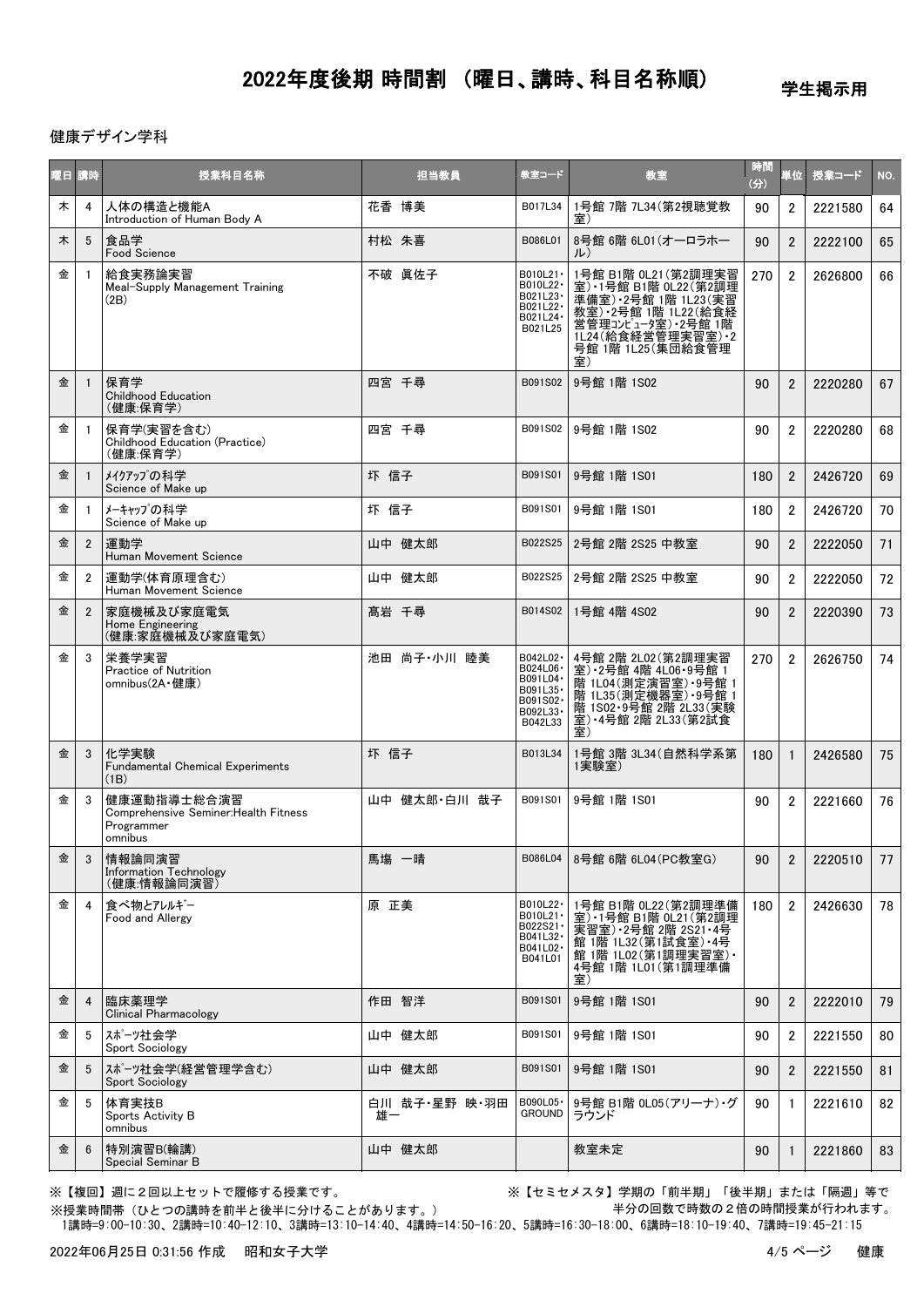学生掲示用

### 健康デザイン学科

| 曜日 講時 |                | 授業科目名称                                                                        | 担当教員                | 教室コード                                                                                | 教室                                                                                                                                                                 | 時間<br>(3) | 単位             | 授業コード                    | NO. |
|-------|----------------|-------------------------------------------------------------------------------|---------------------|--------------------------------------------------------------------------------------|--------------------------------------------------------------------------------------------------------------------------------------------------------------------|-----------|----------------|--------------------------|-----|
| 木     | 4              | 人体の構造と機能A<br>Introduction of Human Body A                                     | 花香 博美               | B017L34                                                                              | 1号館 7階 7L34 (第2視聴覚教<br>室)                                                                                                                                          | 90        | $\overline{2}$ | 2221580                  | 64  |
| 木     | 5              | 食品学<br>Food Science                                                           | 村松 朱喜               | B086L01                                                                              | 8号館 6階 6L01 (オーロラホー<br>儿)                                                                                                                                          | 90        | $\overline{2}$ | 2222100                  | 65  |
| 金     |                | 給食実務論実習<br>Meal-Supply Management Training<br>(2B)                            | 不破 眞佐子              | B010L21 ·<br>B010L22 ·<br>B021L23 ·<br>B021L22 ·<br>B021L24 ·<br>B021L25             | 1号館 B1階 0L21 (第2調理実習<br>室) 1号館 B1階 0L22 (第2調理<br>準備室) 2号館 1階 1L23(実習<br>+ 郷室) ・2号館 1階 1L22(給食経営管理コンピュータ室) ・2号館 1階<br>1L24(給食経営管理実習室)·2<br>号館 1階 1L25 (集団給食管理<br>室) | 270       | $\overline{2}$ | 2626800                  | 66  |
| 金     | $\overline{1}$ | 保育学<br><b>Childhood Education</b><br>(健康:保育学)                                 | 四宮 千尋               | B091S02                                                                              | 9号館 1階 1S02                                                                                                                                                        | 90        | $\overline{2}$ | 2220280                  | 67  |
| 金     | -1             | 保育学(実習を含む)<br>Childhood Education (Practice)<br>(健康:保育学)                      | 四宮 千尋               | B091S02                                                                              | 9号館 1階 1S02                                                                                                                                                        | 90        | $\overline{2}$ | 2220280                  | 68  |
| 金     | $\overline{1}$ | メイクアップの科学<br>Science of Make up                                               | 圷 信子                | B091S01                                                                              | 9号館 1階 1S01                                                                                                                                                        | 180       | $\overline{2}$ | 2426720                  | 69  |
| 金     | -1             | メーキャップの科学<br>Science of Make up                                               | 圷 信子                | B091S01                                                                              | 9号館 1階 1S01                                                                                                                                                        | 180       | $\overline{2}$ | 2426720                  | 70  |
| 金     | $\overline{2}$ | 運動学<br>Human Movement Science                                                 | 山中 健太郎              | B022S25                                                                              | 2号館 2階 2S25 中教室                                                                                                                                                    | 90        | $\overline{2}$ | 2222050                  | 71  |
| 金     | 2              | 運動学(体育原理含む)<br>Human Movement Science                                         | 山中 健太郎              | B022S25                                                                              | 2号館 2階 2S25 中教室                                                                                                                                                    | 90        | $\overline{2}$ | 2222050                  | 72  |
| 金     | $\overline{2}$ | 家庭機械及び家庭電気<br>Home Engineering<br>(健康:家庭機械及び家庭電気)                             | 髙岩 千尋               | B014S02                                                                              | 1号館 4階 4S02                                                                                                                                                        | 90        | $\overline{2}$ | 2220390                  | 73  |
| 金     | 3              | 栄養学実習<br>Practice of Nutrition<br>omnibus(2A · 健康)                            | 池田 尚子·小川 睦美         | B042L02 ·<br>B024L06 ·<br>B091L04 ·<br>B091L35 ·<br>B091S02 ·<br>B092L33-<br>B042L33 | 4号館 2階 2L02 (第2調理実習<br>室) 2号館 4階 4L06 9号館 1<br>階 1L04(測定演習室) 9号館 1<br>階 1L35 (測定機器室) 9号館 1<br>階 1S02 9号館 2階 2L33(実験<br>室) 1号館 2階 2L33(実験                           | 270       | $\overline{2}$ | 2626750                  | 74  |
| 金     | 3              | 化学実験<br><b>Fundamental Chemical Experiments</b><br>(1B)                       | 圷 信子                | B013L34                                                                              | 1号館 3階 3L34(自然科学系第<br>1実験室)                                                                                                                                        | 180       | $\mathbf{1}$   | 2426580                  | 75  |
| 金     | 3              | 健康運動指導士総合演習<br>Comprehensive Seminer: Health Fitness<br>Programmer<br>omnibus | 山中 健太郎·白川 哉子        | B091S01                                                                              | 9号館 1階 1S01                                                                                                                                                        | 90        | $\overline{2}$ | 2221660                  | 76  |
|       | 金 3            | 情報論同演習<br><b>Information Technology</b><br>(健康:情報論同演習)                        | 馬塲 一晴               |                                                                                      | B086L04 8号館 6階 6L04 (PC教室G)                                                                                                                                        |           |                | $90 \mid 2 \mid 2220510$ | 77  |
| 金     | $\overline{4}$ | 食べ物とアレルギー<br>Food and Allergy                                                 | 原 正美                | B010L22 ·<br>B010L21 ·<br>B022S21 ·<br>B041L32 ·<br>B041L02 ·<br>B041L01             | 1号館 B1階 0L22(第2調理準備<br>室) -1号館 B1階 0L21(第2調理<br>実習室) -2号館 2階 2S21 -4号<br>館 1階 1L32(第1試食室) - 4号<br>館 1階 1L02(第1調理実習室) -<br>4号館 1階 1L01 (第1調理準備<br>室)                | 180       | $\overline{2}$ | 2426630                  | 78  |
| 金     | $\overline{4}$ | 臨床薬理学<br><b>Clinical Pharmacology</b>                                         | 作田 智洋               | B091S01                                                                              | 9号館 1階 1S01                                                                                                                                                        | 90        | $\overline{2}$ | 2222010                  | 79  |
| 金     | 5              | スポーツ社会学<br>Sport Sociology                                                    | 山中 健太郎              | B091S01                                                                              | 9号館 1階 1S01                                                                                                                                                        | 90        | $\overline{2}$ | 2221550                  | 80  |
| 金     | 5              | スポーツ社会学(経営管理学含む)<br>Sport Sociology                                           | 山中 健太郎              | B091S01                                                                              | 9号館 1階 1S01                                                                                                                                                        | 90        | $\overline{2}$ | 2221550                  | 81  |
| 金     | 5              | 体育実技B<br>Sports Activity B<br>omnibus                                         | 白川 哉子・星野 映・羽田<br>雄一 | B090L05-<br><b>GROUND</b>                                                            | 9号館 B1階 0L05 (アリーナ)・グ<br>ラウンド                                                                                                                                      | 90        | $\mathbf{1}$   | 2221610                  | 82  |
| 金     | 6              | 特別演習B(輪講)<br>Special Seminar B                                                | 山中 健太郎              |                                                                                      | 教室未定                                                                                                                                                               | 90        |                | 2221860                  | 83  |

※授業時間帯(ひとつの講時を前半と後半に分けることがあります。)

※【複回】週に2回以上セットで履修する授業です。 ※【セミセメスタ】学期の「前半期」「後半期」または「隔週」等で 半分の回数で時数の2倍の時間授業が行われます。

1講時=9:00-10:30、2講時=10:40-12:10、3講時=13:10-14:40、4講時=14:50-16:20、5講時=16:30-18:00、6講時=18:10-19:40、7講時=19:45-21:15